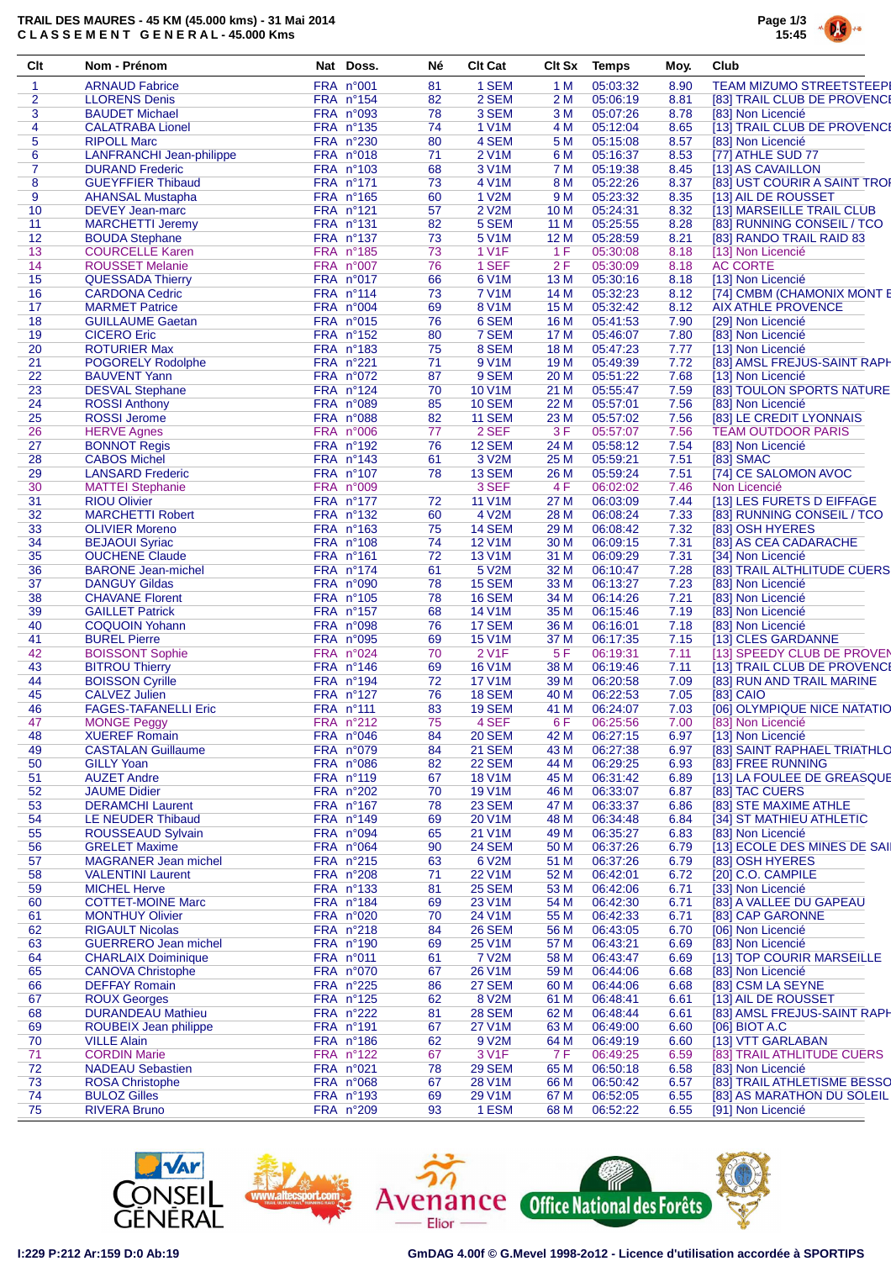## **TRAIL DES MAURES - 45 KM (45.000 kms) - 31 Mai 2014 C L A S S E M E N T G E N E R A L - 45.000 Kms**



| Clt            | Nom - Prénom                    | Nat Doss.                | Né.      | <b>Clt Cat</b>          | Clt Sx | Temps                | Moy. | Club                                    |
|----------------|---------------------------------|--------------------------|----------|-------------------------|--------|----------------------|------|-----------------------------------------|
| 1              | <b>ARNAUD Fabrice</b>           | FRA n°001                | 81       | 1 SEM                   | 1 M    | 05:03:32             | 8.90 | <b>TEAM MIZUMO STREETSTEEPI</b>         |
| 2              | <b>LLORENS Denis</b>            | FRA n°154                | 82       | 2 SEM                   | 2 M    | 05:06:19             | 8.81 | [83] TRAIL CLUB DE PROVENCE             |
| 3              | <b>BAUDET Michael</b>           | FRA n°093                | 78       | 3 SEM                   | 3 M    | 05:07:26             | 8.78 | [83] Non Licencié                       |
| 4              | <b>CALATRABA Lionel</b>         | FRA nº135                | 74       | 1 V1M                   | 4 M    | 05:12:04             | 8.65 | [13] TRAIL CLUB DE PROVENCE             |
| 5              | <b>RIPOLL Marc</b>              | FRA n°230                | 80       | 4 SEM                   | 5 M    | 05:15:08             | 8.57 | [83] Non Licencié                       |
| 6              | <b>LANFRANCHI Jean-philippe</b> | FRA n°018                | 71       | 2 V1M                   | 6 M    | 05:16:37             | 8.53 | [77] ATHLE SUD 77                       |
| $\overline{7}$ | <b>DURAND Frederic</b>          | FRA n°103                | 68       | 3 V1M                   | 7 M    | 05:19:38             | 8.45 | [13] AS CAVAILLON                       |
| 8              | <b>GUEYFFIER Thibaud</b>        | FRA nº171                | 73       | 4 V1M                   | 8 M    | 05:22:26             | 8.37 | [83] UST COURIR A SAINT TROP            |
| 9              | <b>AHANSAL Mustapha</b>         | FRA n°165                | 60       | 1 V2M                   | 9 M    | 05:23:32             | 8.35 | [13] AIL DE ROUSSET                     |
| 10             | <b>DEVEY Jean-marc</b>          | $FRA$ n°121              | 57       | 2 V2M                   | 10 M   | 05:24:31             | 8.32 | [13] MARSEILLE TRAIL CLUB               |
| 11             | <b>MARCHETTI Jeremy</b>         | FRA n°131                | 82       | 5 SEM                   | 11 M   | 05:25:55             | 8.28 | [83] RUNNING CONSEIL / TCO              |
| 12             | <b>BOUDA Stephane</b>           | <b>FRA n°137</b>         | 73       | 5 V <sub>1</sub> M      | 12 M   | 05:28:59             | 8.21 | [83] RANDO TRAIL RAID 83                |
| 13             | <b>COURCELLE Karen</b>          | FRA n°185                | 73       | 1 V <sub>1</sub> F      | 1F     | 05:30:08             | 8.18 | [13] Non Licencié                       |
| 14             | <b>ROUSSET Melanie</b>          | FRA n°007                | 76       | 1 SEF                   | 2F     | 05:30:09             | 8.18 | <b>AC CORTE</b>                         |
| 15             | <b>QUESSADA Thierry</b>         | FRA n°017                | 66       | 6 V1M                   | 13 M   | 05:30:16             | 8.18 | [13] Non Licencié                       |
| 16             | <b>CARDONA Cedric</b>           | FRA nº114                | 73       | 7 V1M                   | 14 M   | 05:32:23             | 8.12 | [74] CMBM (CHAMONIX MONT E              |
| 17             | <b>MARMET Patrice</b>           | FRA n°004                | 69       | 8 V1M                   | 15 M   | 05:32:42             | 8.12 | <b>AIX ATHLE PROVENCE</b>               |
| 18             | <b>GUILLAUME Gaetan</b>         | FRA n°015                | 76       | 6 SEM                   | 16 M   | 05:41:53             | 7.90 | [29] Non Licencié                       |
| 19             | <b>CICERO Eric</b>              | FRA n°152                | 80       | 7 SEM                   | 17 M   | 05:46:07             | 7.80 | [83] Non Licencié                       |
| 20             | <b>ROTURIER Max</b>             | FRA n°183                | 75       | 8 SEM                   | 18 M   | 05:47:23             | 7.77 | [13] Non Licencié                       |
| 21             | POGORELY Rodolphe               | FRA n°221                | 71       | 9 V1M                   | 19 M   | 05:49:39             | 7.72 | [83] AMSL FREJUS-SAINT RAPH             |
| 22             | <b>BAUVENT Yann</b>             | FRA n°072                | 87       | 9 SEM                   | 20 M   | 05:51:22             | 7.68 | [13] Non Licencié                       |
| 23             | <b>DESVAL Stephane</b>          | $FRA$ n°124              | 70       | 10 V1M                  | 21 M   | 05:55:47             | 7.59 | [83] TOULON SPORTS NATURE               |
| 24             | <b>ROSSI</b> Anthony            | FRA n°089                | 85       | <b>10 SEM</b>           | 22 M   | 05:57:01             | 7.56 | [83] Non Licencié                       |
| 25             | <b>ROSSI Jerome</b>             | FRA n°088                | 82       | <b>11 SEM</b>           | 23 M   | 05:57:02             | 7.56 | [83] LE CREDIT LYONNAIS                 |
| 26             | <b>HERVE Agnes</b>              | FRA n°006                | 77       | 2 SEF                   | 3 F    | 05:57:07             | 7.56 | <b>TEAM OUTDOOR PARIS</b>               |
| 27             | <b>BONNOT Regis</b>             | FRA n°192                | 76       | <b>12 SEM</b>           | 24 M   | 05:58:12             | 7.54 | [83] Non Licencié                       |
| 28             | <b>CABOS Michel</b>             | FRA nº143                | 61       | 3 V2M                   | 25 M   | 05:59:21             | 7.51 | [83] SMAC                               |
| 29             | <b>LANSARD Frederic</b>         | <b>FRA nº107</b>         | 78       | <b>13 SEM</b>           | 26 M   | 05:59:24             | 7.51 | [74] CE SALOMON AVOC                    |
| 30             | <b>MATTEI Stephanie</b>         | FRA n°009                |          | 3 SEF                   | 4 F    | 06:02:02             | 7.46 | Non Licencié                            |
| 31             | <b>RIOU Olivier</b>             | FRA nº177                | 72       | <b>11 V1M</b>           | 27 M   | 06:03:09             | 7.44 | [13] LES FURETS D EIFFAGE               |
| 32             | <b>MARCHETTI Robert</b>         | FRA n°132                | 60       | 4 V2M                   | 28 M   | 06:08:24             | 7.33 | [83] RUNNING CONSEIL / TCO              |
| 33             | <b>OLIVIER Moreno</b>           | FRA n°163                | 75       | <b>14 SEM</b>           | 29 M   | 06:08:42             | 7.32 | [83] OSH HYERES                         |
| 34             | <b>BEJAOUI Syriac</b>           | FRA n°108                | 74       | 12 V1M                  | 30 M   | 06:09:15             | 7.31 | [83] AS CEA CADARACHE                   |
| 35             | <b>OUCHENE Claude</b>           | FRA nº161                | 72       | <b>13 V1M</b>           | 31 M   | 06:09:29             | 7.31 | [34] Non Licencié                       |
| 36             | <b>BARONE Jean-michel</b>       | FRA nº174                | 61       | 5 V2M                   | 32 M   | 06:10:47             | 7.28 | [83] TRAIL ALTHLITUDE CUERS             |
| 37             | <b>DANGUY Gildas</b>            | FRA n°090                | 78       | <b>15 SEM</b>           | 33 M   | 06:13:27             | 7.23 | [83] Non Licencié                       |
| 38             | <b>CHAVANE Florent</b>          | FRA n°105                | 78       | <b>16 SEM</b>           | 34 M   | 06:14:26             | 7.21 | [83] Non Licencié                       |
| 39             | <b>GAILLET Patrick</b>          | FRA nº157                | 68       | <b>14 V1M</b>           | 35 M   | 06:15:46             | 7.19 | [83] Non Licencié                       |
| 40             | <b>COQUOIN Yohann</b>           | FRA n°098                | 76       | <b>17 SEM</b>           | 36 M   | 06:16:01             | 7.18 | [83] Non Licencié                       |
| 41             | <b>BUREL Pierre</b>             | <b>FRA n°095</b>         | 69       | <b>15 V1M</b>           | 37 M   | 06:17:35             | 7.15 | [13] CLES GARDANNE                      |
| 42             | <b>BOISSONT Sophie</b>          | FRA n°024                | 70       | 2 V <sub>1</sub> F      | 5F     | 06:19:31             | 7.11 | [13] SPEEDY CLUB DE PROVEN              |
| 43             | <b>BITROU Thierry</b>           | FRA n°146                | 69       | <b>16 V1M</b>           | 38 M   | 06:19:46             | 7.11 | [13] TRAIL CLUB DE PROVENCE             |
| 44             | <b>BOISSON Cyrille</b>          | FRA n°194                | 72       | <b>17 V1M</b>           | 39 M   | 06:20:58             | 7.09 | [83] RUN AND TRAIL MARINE               |
| 45             | <b>CALVEZ Julien</b>            | FRA n°127                | 76       | <b>18 SEM</b>           | 40 M   | 06:22:53             | 7.05 | [83] CAIO                               |
| 46             | <b>FAGES-TAFANELLI Eric</b>     | FRA nº111                | 83       | <b>19 SEM</b>           | 41 M   | 06:24:07             | 7.03 | [06] OLYMPIQUE NICE NATATIO             |
| 47             | <b>MONGE Peggy</b>              | FRA n°212                | 75       | 4 SEF                   | 6F     | 06:25:56             | 7.00 | [83] Non Licencié                       |
| 48             | <b>XUEREF Romain</b>            | FRA n°046                | 84       | <b>20 SEM</b>           | 42 M   | 06:27:15             | 6.97 | [13] Non Licencié                       |
| 49             | <b>CASTALAN Guillaume</b>       | FRA n°079                | 84       | <b>21 SEM</b>           | 43 M   | 06:27:38             | 6.97 | [83] SAINT RAPHAEL TRIATHLO             |
|                | <b>GILLY Yoan</b>               | FRA n°086                | 82       | <b>22 SEM</b>           |        | 06:29:25             | 6.93 | [83] FREE RUNNING                       |
| 50             | <b>AUZET Andre</b>              | FRA n°119                |          | 18 V1M                  | 44 M   | 06:31:42             | 6.89 | [13] LA FOULEE DE GREASQUE              |
| 51             |                                 |                          | 67       |                         | 45 M   |                      |      |                                         |
| 52<br>53       | <b>JAUME Didier</b>             | FRA n°202                | 70       | 19 V1M<br><b>23 SEM</b> | 46 M   | 06:33:07<br>06:33:37 | 6.87 | [83] TAC CUERS<br>[83] STE MAXIME ATHLE |
| 54             | <b>DERAMCHI Laurent</b>         | $FRA$ n°167<br>FRA n°149 | 78<br>69 | 20 V1M                  | 47 M   | 06:34:48             | 6.86 | [34] ST MATHIEU ATHLETIC                |
|                | LE NEUDER Thibaud               |                          |          | 21 V1M                  | 48 M   |                      | 6.84 |                                         |
| 55             | ROUSSEAUD Sylvain               | FRA n°094                | 65       |                         | 49 M   | 06:35:27             | 6.83 | [83] Non Licencié                       |
| 56             | <b>GRELET Maxime</b>            | FRA n°064                | 90       | <b>24 SEM</b>           | 50 M   | 06:37:26             | 6.79 | [13] ECOLE DES MINES DE SAII            |
| 57             | <b>MAGRANER Jean michel</b>     | FRA n°215                | 63       | 6 V2M                   | 51 M   | 06:37:26             | 6.79 | [83] OSH HYERES                         |
| 58             | <b>VALENTINI Laurent</b>        | FRA n°208                | 71       | <b>22 V1M</b>           | 52 M   | 06:42:01             | 6.72 | [20] C.O. CAMPILE                       |
| 59             | <b>MICHEL Herve</b>             | FRA n°133                | 81       | <b>25 SEM</b>           | 53 M   | 06:42:06             | 6.71 | [33] Non Licencié                       |
| 60             | <b>COTTET-MOINE Marc</b>        | FRA n°184                | 69       | 23 V1M                  | 54 M   | 06:42:30             | 6.71 | [83] A VALLEE DU GAPEAU                 |
| 61             | <b>MONTHUY Olivier</b>          | <b>FRA n°020</b>         | 70       | 24 V1M                  | 55 M   | 06:42:33             | 6.71 | [83] CAP GARONNE                        |
| 62             | <b>RIGAULT Nicolas</b>          | FRA n°218                | 84       | <b>26 SEM</b>           | 56 M   | 06:43:05             | 6.70 | [06] Non Licencié                       |
| 63             | <b>GUERRERO Jean michel</b>     | FRA n°190                | 69       | 25 V1M                  | 57 M   | 06:43:21             | 6.69 | [83] Non Licencié                       |
| 64             | <b>CHARLAIX Doiminique</b>      | FRA n°011                | 61       | 7 V2M                   | 58 M   | 06:43:47             | 6.69 | [13] TOP COURIR MARSEILLE               |
| 65             | <b>CANOVA Christophe</b>        | FRA n°070                | 67       | 26 V1M                  | 59 M   | 06:44:06             | 6.68 | [83] Non Licencié                       |
| 66             | <b>DEFFAY Romain</b>            | $FRA$ n°225              | 86       | 27 SEM                  | 60 M   | 06:44:06             | 6.68 | [83] CSM LA SEYNE                       |
| 67             | <b>ROUX Georges</b>             | $FRA$ n°125              | 62       | 8 V2M                   | 61 M   | 06:48:41             | 6.61 | [13] AIL DE ROUSSET                     |
| 68             | <b>DURANDEAU Mathieu</b>        | FRA n°222                | 81       | <b>28 SEM</b>           | 62 M   | 06:48:44             | 6.61 | [83] AMSL FREJUS-SAINT RAPH             |
| 69             | ROUBEIX Jean philippe           | FRA nº191                | 67       | <b>27 V1M</b>           | 63 M   | 06:49:00             | 6.60 | [06] BIOT A.C                           |
| 70             | <b>VILLE Alain</b>              | FRA n°186                | 62       | 9 V2M                   | 64 M   | 06:49:19             | 6.60 | [13] VTT GARLABAN                       |
| 71             | <b>CORDIN Marie</b>             | FRA n°122                | 67       | 3 V1F                   | 7 F    | 06:49:25             | 6.59 | [83] TRAIL ATHLITUDE CUERS              |
| 72             | <b>NADEAU Sebastien</b>         | FRA n°021                | 78       | 29 SEM                  | 65 M   | 06:50:18             | 6.58 | [83] Non Licencié                       |
| 73             | <b>ROSA Christophe</b>          | <b>FRA n°068</b>         | 67       | 28 V1M                  | 66 M   | 06:50:42             | 6.57 | [83] TRAIL ATHLETISME BESSO             |
| 74             | <b>BULOZ Gilles</b>             | FRA nº193                | 69       | 29 V1M                  | 67 M   | 06:52:05             | 6.55 | [83] AS MARATHON DU SOLEIL              |
| 75             | <b>RIVERA Bruno</b>             | FRA n°209                | 93       | 1 ESM                   | 68 M   | 06:52:22             | 6.55 | [91] Non Licencié                       |







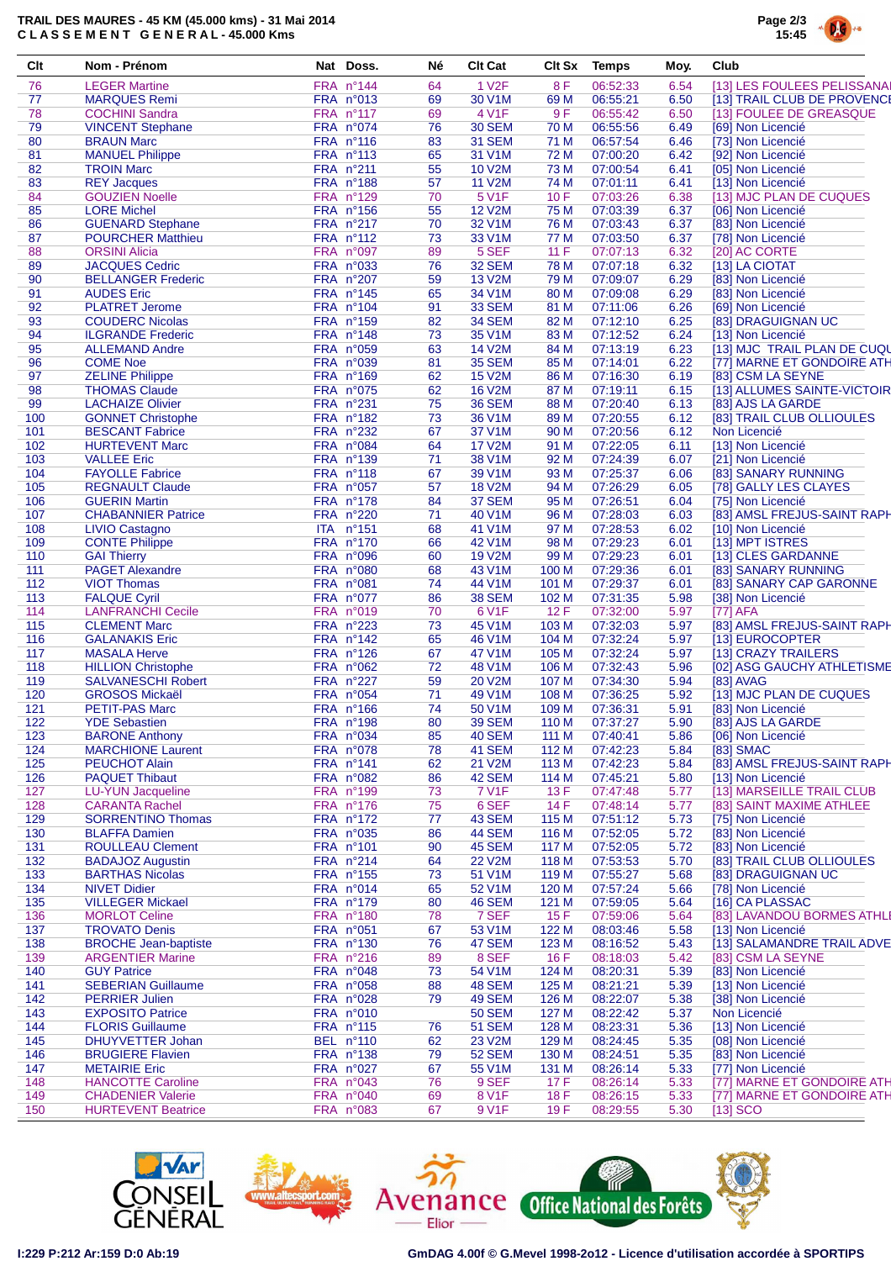## **TRAIL DES MAURES - 45 KM (45.000 kms) - 31 Mai 2014 C L A S S E M E N T G E N E R A L - 45.000 Kms**



| Clt        | Nom - Prénom                                     | Nat Doss.                | Né       | <b>Clt Cat</b>          | Clt Sx         | <b>Temps</b>         | Moy.         | Club                                            |
|------------|--------------------------------------------------|--------------------------|----------|-------------------------|----------------|----------------------|--------------|-------------------------------------------------|
| 76         | <b>LEGER Martine</b>                             | FRA n°144                | 64       | 1 V <sub>2</sub> F      | 8F             | 06:52:33             | 6.54         | [13] LES FOULEES PELISSANAI                     |
| 77         | <b>MARQUES Remi</b>                              | FRA n°013                | 69       | 30 V1M                  | 69 M           | 06:55:21             | 6.50         | [13] TRAIL CLUB DE PROVENCE                     |
| 78         | <b>COCHINI Sandra</b>                            | FRA nº117                | 69       | 4 V1F                   | 9F             | 06:55:42             | 6.50         | [13] FOULEE DE GREASQUE                         |
| 79         | <b>VINCENT Stephane</b>                          | FRA n°074                | 76       | <b>30 SEM</b>           | 70 M           | 06:55:56             | 6.49         | [69] Non Licencié                               |
| 80         | <b>BRAUN Marc</b>                                | FRA nº116                | 83       | <b>31 SEM</b>           | 71 M           | 06:57:54             | 6.46         | [73] Non Licencié                               |
| 81         | <b>MANUEL Philippe</b>                           | FRA nº113                | 65       | 31 V1M                  | 72 M           | 07:00:20             | 6.42         | [92] Non Licencié                               |
| 82         | <b>TROIN Marc</b>                                | FRA n°211                | 55       | 10 V2M<br><b>11 V2M</b> | 73 M           | 07:00:54<br>07:01:11 | 6.41         | [05] Non Licencié                               |
| 83<br>84   | <b>REY Jacques</b>                               | FRA n°188<br>FRA n°129   | 57       |                         | 74 M           | 07:03:26             | 6.41         | [13] Non Licencié                               |
| 85         | <b>GOUZIEN Noelle</b><br><b>LORE Michel</b>      | FRA n°156                | 70<br>55 | 5 V1F<br><b>12 V2M</b>  | 10F<br>75 M    | 07:03:39             | 6.38<br>6.37 | [13] MJC PLAN DE CUQUES<br>[06] Non Licencié    |
| 86         | <b>GUENARD Stephane</b>                          | FRA n°217                | 70       | 32 V1M                  | 76 M           | 07:03:43             | 6.37         | [83] Non Licencié                               |
| 87         | <b>POURCHER Matthieu</b>                         | FRA n°112                | 73       | 33 V1M                  | 77 M           | 07:03:50             | 6.37         | [78] Non Licencié                               |
| 88         | <b>ORSINI Alicia</b>                             | FRA n°097                | 89       | 5 SEF                   | 11 F           | 07:07:13             | 6.32         | [20] AC CORTE                                   |
| 89         | <b>JACQUES Cedric</b>                            | <b>FRA n°033</b>         | 76       | <b>32 SEM</b>           | 78 M           | 07:07:18             | 6.32         | [13] LA CIOTAT                                  |
| 90         | <b>BELLANGER Frederic</b>                        | FRA n°207                | 59       | <b>13 V2M</b>           | 79 M           | 07:09:07             | 6.29         | [83] Non Licencié                               |
| 91         | <b>AUDES Eric</b>                                | $FRA$ n°145              | 65       | 34 V1M                  | 80 M           | 07:09:08             | 6.29         | [83] Non Licencié                               |
| 92         | <b>PLATRET Jerome</b>                            | FRA nº104                | 91       | <b>33 SEM</b>           | 81 M           | 07:11:06             | 6.26         | [69] Non Licencié                               |
| 93         | <b>COUDERC Nicolas</b>                           | FRA n°159                | 82       | <b>34 SEM</b>           | 82 M           | 07:12:10             | 6.25         | [83] DRAGUIGNAN UC                              |
| 94         | <b>ILGRANDE Frederic</b>                         | FRA n°148                | 73       | 35 V1M                  | 83 M           | 07:12:52             | 6.24         | [13] Non Licencié                               |
| 95         | <b>ALLEMAND Andre</b>                            | FRA n°059                | 63       | 14 V2M                  | 84 M           | 07:13:19             | 6.23         | [13] MJC TRAIL PLAN DE CUQU                     |
| 96         | <b>COME Noe</b>                                  | <b>FRA n°039</b>         | 81       | <b>35 SEM</b>           | 85 M           | 07:14:01             | 6.22         | [77] MARNE ET GONDOIRE ATH                      |
| 97         | <b>ZELINE Philippe</b>                           | FRA nº169                | 62       | <b>15 V2M</b>           | 86 M           | 07:16:30             | 6.19         | [83] CSM LA SEYNE                               |
| 98         | <b>THOMAS Claude</b>                             | FRA n°075                | 62       | <b>16 V2M</b>           | 87 M           | 07:19:11             | 6.15         | [13] ALLUMES SAINTE-VICTOIR                     |
| 99         | <b>LACHAIZE Olivier</b>                          | FRA n°231                | 75       | <b>36 SEM</b>           | 88 M           | 07:20:40             | 6.13         | [83] AJS LA GARDE                               |
| 100        | <b>GONNET Christophe</b>                         | FRA n°182                | 73       | 36 V1M                  | 89 M           | 07:20:55             | 6.12         | [83] TRAIL CLUB OLLIOULES                       |
| 101        | <b>BESCANT Fabrice</b>                           | FRA n°232                | 67       | 37 V1M                  | 90 M           | 07:20:56             | 6.12         | Non Licencié                                    |
| 102        | <b>HURTEVENT Marc</b>                            | FRA n°084                | 64       | <b>17 V2M</b>           | 91 M           | 07:22:05             | 6.11         | [13] Non Licencié                               |
| 103        | <b>VALLEE Eric</b>                               | FRA n°139                | 71       | 38 V1M                  | 92 M           | 07:24:39             | 6.07         | [21] Non Licencié                               |
| 104        | <b>FAYOLLE Fabrice</b>                           | <b>FRA n°118</b>         | 67       | 39 V1M                  | 93 M           | 07:25:37             | 6.06         | [83] SANARY RUNNING                             |
| 105        | <b>REGNAULT Claude</b>                           | FRA n°057                | 57       | <b>18 V2M</b>           | 94 M           | 07:26:29             | 6.05         | [78] GALLY LES CLAYES                           |
| 106        | <b>GUERIN Martin</b>                             | FRA n°178                | 84       | 37 SEM                  | 95 M           | 07:26:51             | 6.04         | [75] Non Licencié                               |
| 107        | <b>CHABANNIER Patrice</b>                        | FRA n°220                | 71       | 40 V1M                  | 96 M           | 07:28:03             | 6.03         | [83] AMSL FREJUS-SAINT RAPH                     |
| 108        | <b>LIVIO Castagno</b>                            | ITA n <sup>°</sup> 151   | 68       | 41 V1M                  | 97 M           | 07:28:53             | 6.02         | [10] Non Licencié                               |
| 109        | <b>CONTE Philippe</b>                            | FRA n°170                | 66       | 42 V1M                  | 98 M           | 07:29:23             | 6.01         | [13] MPT ISTRES                                 |
| 110        | <b>GAI Thierry</b>                               | FRA n°096                | 60       | <b>19 V2M</b>           | 99 M           | 07:29:23             | 6.01         | [13] CLES GARDANNE                              |
| 111        | <b>PAGET Alexandre</b>                           | FRA n°080                | 68       | 43 V1M                  | 100 M          | 07:29:36             | 6.01         | [83] SANARY RUNNING                             |
| 112        | <b>VIOT Thomas</b>                               | FRA n°081                | 74       | 44 V1M                  | 101 M          | 07:29:37             | 6.01         | [83] SANARY CAP GARONNE                         |
| 113        | <b>FALQUE Cyril</b>                              | FRA n°077                | 86       | <b>38 SEM</b>           | 102 M          | 07:31:35             | 5.98         | [38] Non Licencié                               |
| 114        | <b>LANFRANCHI Cecile</b>                         | FRA n°019                | 70       | 6 V1F                   | 12F            | 07:32:00             | 5.97         | [77] AFA                                        |
| 115        | <b>CLEMENT Marc</b>                              | FRA n°223                | 73       | 45 V1M                  | 103 M          | 07:32:03             | 5.97         | [83] AMSL FREJUS-SAINT RAPH                     |
| 116<br>117 | <b>GALANAKIS Eric</b><br><b>MASALA Herve</b>     | $FRA$ n°142<br>FRA n°126 | 65<br>67 | 46 V1M<br>47 V1M        | 104 M<br>105 M | 07:32:24<br>07:32:24 | 5.97<br>5.97 | [13] EUROCOPTER<br>[13] CRAZY TRAILERS          |
| 118        | <b>HILLION Christophe</b>                        | FRA n°062                | 72       | 48 V1M                  | 106 M          | 07:32:43             | 5.96         | [02] ASG GAUCHY ATHLETISME                      |
| 119        | <b>SALVANESCHI Robert</b>                        | FRA n°227                | 59       | <b>20 V2M</b>           | 107 M          | 07:34:30             | 5.94         | [83] AVAG                                       |
| 120        | <b>GROSOS Mickaël</b>                            | FRA n°054                | 71       | 49 V1M                  | 108 M          | 07:36:25             | 5.92         | [13] MJC PLAN DE CUQUES                         |
| 121        | <b>PETIT-PAS Marc</b>                            | FRA nº166                | 74       | 50 V1M                  | 109 M          | 07:36:31             | 5.91         | [83] Non Licencié                               |
| 122        | <b>YDE Sebastien</b>                             | <b>FRA nº198</b>         | 80       | <b>39 SEM</b>           | 110 M          | 07:37:27             | 5.90         | [83] AJS LA GARDE                               |
| 123        | <b>BARONE Anthony</b>                            | FRA n°034                | 85       | <b>40 SEM</b>           | 111 M          | 07:40:41             | 5.86         | [06] Non Licencié                               |
| 124        | <b>MARCHIONE Laurent</b>                         | FRA n°078                | 78       | <b>41 SEM</b>           | 112 M          | 07:42:23             | 5.84         | [83] SMAC                                       |
| 125        | <b>PEUCHOT Alain</b>                             | FRA nº141                | 62       | 21 V2M                  | 113 M          | 07:42:23             | 5.84         | [83] AMSL FREJUS-SAINT RAPH                     |
| 126        | <b>PAQUET Thibaut</b>                            | FRA n°082                | 86       | 42 SEM                  | 114 M          | 07:45:21             | 5.80         | [13] Non Licencié                               |
| 127        | <b>LU-YUN Jacqueline</b>                         | FRA n°199                | 73       | 7 V1F                   | 13F            | 07:47:48             | 5.77         | [13] MARSEILLE TRAIL CLUB                       |
| 128        | <b>CARANTA Rachel</b>                            | FRA n°176                | 75       | 6 SEF                   | 14 F           | 07:48:14             | 5.77         | [83] SAINT MAXIME ATHLEE                        |
| 129        | <b>SORRENTINO Thomas</b>                         | FRA nº172                | 77       | 43 SEM                  | 115 M          | 07:51:12             | 5.73         | [75] Non Licencié                               |
| 130        | <b>BLAFFA Damien</b>                             | FRA n°035                | 86       | <b>44 SEM</b>           | 116 M          | 07:52:05             | 5.72         | [83] Non Licencié                               |
| 131        | <b>ROULLEAU Clement</b>                          | FRA n°101                | 90       | <b>45 SEM</b>           | 117 M          | 07:52:05             | 5.72         | [83] Non Licencié                               |
| 132        | <b>BADAJOZ Augustin</b>                          | FRA n°214                | 64       | <b>22 V2M</b>           | 118 M          | 07:53:53             | 5.70         | [83] TRAIL CLUB OLLIOULES                       |
| 133        | <b>BARTHAS Nicolas</b>                           | FRA nº155                | 73       | 51 V1M                  | 119 M          | 07:55:27             | 5.68         | [83] DRAGUIGNAN UC                              |
| 134        | <b>NIVET Didier</b>                              | FRA n°014                | 65       | 52 V1M                  | 120 M          | 07:57:24             | 5.66         | [78] Non Licencié                               |
| 135        | <b>VILLEGER Mickael</b>                          | FRA n°179                | 80       | <b>46 SEM</b>           | 121 M          | 07:59:05             | 5.64         | [16] CA PLASSAC                                 |
| 136        | <b>MORLOT Celine</b>                             | FRA n°180                | 78       | 7 SEF                   | 15F            | 07:59:06             | 5.64         | [83] LAVANDOU BORMES ATHLI                      |
| 137        | <b>TROVATO Denis</b>                             | FRA n°051                | 67       | 53 V1M                  | 122 M          | 08:03:46             | 5.58         | [13] Non Licencié                               |
| 138        | <b>BROCHE Jean-baptiste</b>                      | FRA n°130                | 76       | 47 SEM                  | 123 M          | 08:16:52             | 5.43         | [13] SALAMANDRE TRAIL ADVE                      |
| 139        | <b>ARGENTIER Marine</b>                          | $FRA$ n°216              | 89       | 8 SEF                   | 16F            | 08:18:03             | 5.42         | [83] CSM LA SEYNE                               |
| 140        | <b>GUY Patrice</b>                               | FRA n°048                | 73       | 54 V1M                  | 124 M          | 08:20:31             | 5.39         | [83] Non Licencié                               |
| 141        | <b>SEBERIAN Guillaume</b>                        | <b>FRA n°058</b>         | 88       | <b>48 SEM</b>           | 125 M          | 08:21:21             | 5.39         | [13] Non Licencié                               |
| 142        | <b>PERRIER Julien</b>                            | FRA n°028                | 79       | <b>49 SEM</b>           | 126 M          | 08:22:07             | 5.38         | [38] Non Licencié                               |
| 143        | <b>EXPOSITO Patrice</b>                          | FRA n°010                |          | <b>50 SEM</b>           | 127 M          | 08:22:42             | 5.37         | Non Licencié                                    |
| 144        | <b>FLORIS Guillaume</b>                          | FRA n°115                | 76       | <b>51 SEM</b>           | 128 M          | 08:23:31             | 5.36         | [13] Non Licencié                               |
| 145        | DHUYVETTER Johan                                 | BEL nº110                | 62       | 23 V2M                  | 129 M          | 08:24:45             | 5.35         | [08] Non Licencié                               |
| 146        | <b>BRUGIERE Flavien</b>                          | FRA n°138                | 79       | <b>52 SEM</b>           | 130 M          | 08:24:51             | 5.35         | [83] Non Licencié                               |
| 147<br>148 | <b>METAIRIE Eric</b><br><b>HANCOTTE Caroline</b> | FRA n°027<br>FRA n°043   | 67<br>76 | 55 V1M<br>9 SEF         | 131 M<br>17 F  | 08:26:14<br>08:26:14 | 5.33<br>5.33 | [77] Non Licencié<br>[77] MARNE ET GONDOIRE ATH |
| 149        | <b>CHADENIER Valerie</b>                         | FRA n°040                | 69       | 8 V1F                   | 18 F           | 08:26:15             | 5.33         | [77] MARNE ET GONDOIRE ATH                      |
| 150        | <b>HURTEVENT Beatrice</b>                        | FRA n°083                | 67       | 9 V1F                   | 19F            | 08:29:55             | 5.30         | $[13]$ SCO                                      |
|            |                                                  |                          |          |                         |                |                      |              |                                                 |